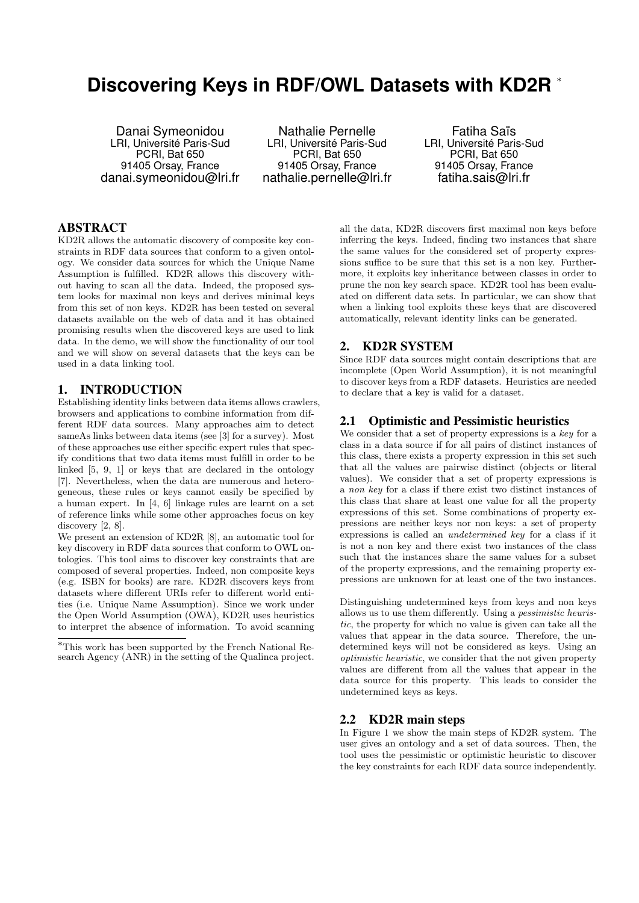# **Discovering Keys in RDF/OWL Datasets with KD2R** <sup>∗</sup>

Danai Symeonidou LRI, Université Paris-Sud PCRI, Bat 650 91405 Orsay, France danai.symeonidou@lri.fr

Nathalie Pernelle LRI, Université Paris-Sud PCRI, Bat 650 91405 Orsay, France nathalie.pernelle@lri.fr

Fatiha Saïs LRI, Université Paris-Sud PCRI, Bat 650 91405 Orsay, France fatiha.sais@lri.fr

# ABSTRACT

KD2R allows the automatic discovery of composite key constraints in RDF data sources that conform to a given ontology. We consider data sources for which the Unique Name Assumption is fulfilled. KD2R allows this discovery without having to scan all the data. Indeed, the proposed system looks for maximal non keys and derives minimal keys from this set of non keys. KD2R has been tested on several datasets available on the web of data and it has obtained promising results when the discovered keys are used to link data. In the demo, we will show the functionality of our tool and we will show on several datasets that the keys can be used in a data linking tool.

#### 1. INTRODUCTION

Establishing identity links between data items allows crawlers, browsers and applications to combine information from different RDF data sources. Many approaches aim to detect sameAs links between data items (see [3] for a survey). Most of these approaches use either specific expert rules that specify conditions that two data items must fulfill in order to be linked [5, 9, 1] or keys that are declared in the ontology [7]. Nevertheless, when the data are numerous and heterogeneous, these rules or keys cannot easily be specified by a human expert. In [4, 6] linkage rules are learnt on a set of reference links while some other approaches focus on key discovery [2, 8].

We present an extension of KD2R [8], an automatic tool for key discovery in RDF data sources that conform to OWL ontologies. This tool aims to discover key constraints that are composed of several properties. Indeed, non composite keys (e.g. ISBN for books) are rare. KD2R discovers keys from datasets where different URIs refer to different world entities (i.e. Unique Name Assumption). Since we work under the Open World Assumption (OWA), KD2R uses heuristics to interpret the absence of information. To avoid scanning

all the data, KD2R discovers first maximal non keys before inferring the keys. Indeed, finding two instances that share the same values for the considered set of property expressions suffice to be sure that this set is a non key. Furthermore, it exploits key inheritance between classes in order to prune the non key search space. KD2R tool has been evaluated on different data sets. In particular, we can show that when a linking tool exploits these keys that are discovered automatically, relevant identity links can be generated.

## 2. KD2R SYSTEM

Since RDF data sources might contain descriptions that are incomplete (Open World Assumption), it is not meaningful to discover keys from a RDF datasets. Heuristics are needed to declare that a key is valid for a dataset.

#### 2.1 Optimistic and Pessimistic heuristics

We consider that a set of property expressions is a key for a class in a data source if for all pairs of distinct instances of this class, there exists a property expression in this set such that all the values are pairwise distinct (objects or literal values). We consider that a set of property expressions is a non key for a class if there exist two distinct instances of this class that share at least one value for all the property expressions of this set. Some combinations of property expressions are neither keys nor non keys: a set of property expressions is called an undetermined key for a class if it is not a non key and there exist two instances of the class such that the instances share the same values for a subset of the property expressions, and the remaining property expressions are unknown for at least one of the two instances.

Distinguishing undetermined keys from keys and non keys allows us to use them differently. Using a pessimistic heuristic, the property for which no value is given can take all the values that appear in the data source. Therefore, the undetermined keys will not be considered as keys. Using an optimistic heuristic, we consider that the not given property values are different from all the values that appear in the data source for this property. This leads to consider the undetermined keys as keys.

#### 2.2 KD2R main steps

In Figure 1 we show the main steps of KD2R system. The user gives an ontology and a set of data sources. Then, the tool uses the pessimistic or optimistic heuristic to discover the key constraints for each RDF data source independently.

<sup>∗</sup>This work has been supported by the French National Research Agency (ANR) in the setting of the Qualinca project.